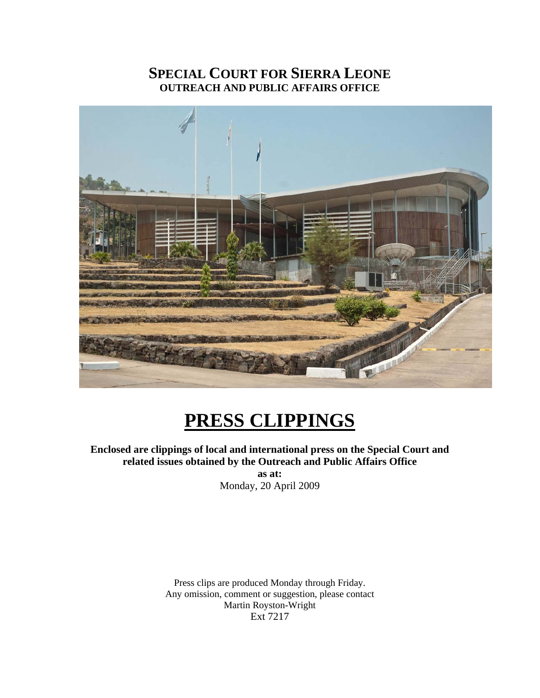#### **SPECIAL COURT FOR SIERRA LEONE OUTREACH AND PUBLIC AFFAIRS OFFICE**



### **PRESS CLIPPINGS**

#### **Enclosed are clippings of local and international press on the Special Court and related issues obtained by the Outreach and Public Affairs Office as at:**

Monday, 20 April 2009

Press clips are produced Monday through Friday. Any omission, comment or suggestion, please contact Martin Royston-Wright Ext 7217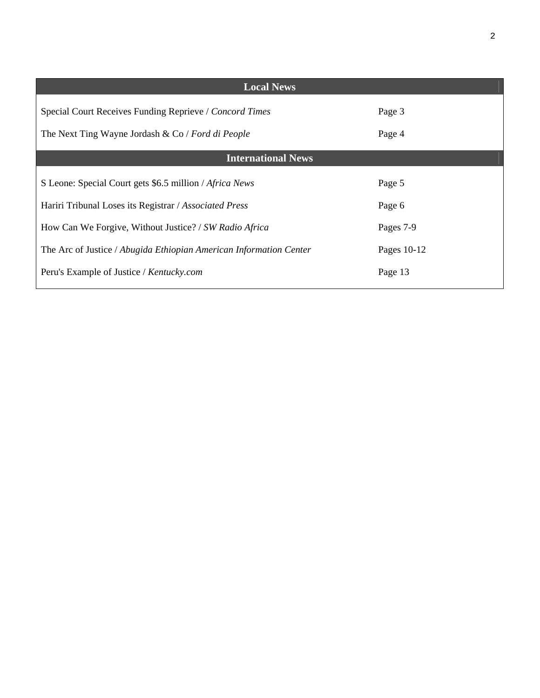| <b>Local News</b>                                                  |             |
|--------------------------------------------------------------------|-------------|
| Special Court Receives Funding Reprieve / Concord Times            | Page 3      |
| The Next Ting Wayne Jordash & Co / Ford di People                  | Page 4      |
| <b>International News</b>                                          |             |
| S Leone: Special Court gets \$6.5 million / Africa News            | Page 5      |
| Hariri Tribunal Loses its Registrar / Associated Press             | Page 6      |
| How Can We Forgive, Without Justice? / SW Radio Africa             | Pages 7-9   |
| The Arc of Justice / Abugida Ethiopian American Information Center | Pages 10-12 |
| Peru's Example of Justice / Kentucky.com                           | Page 13     |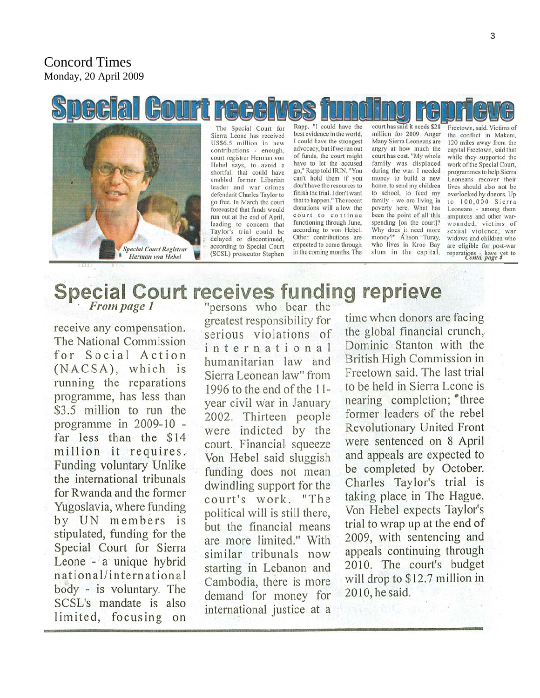#### **Concord Times** Monday, 20 April 2009

# **Special Court receiv Special Court Registrar** Herman von Hebel

The Special Court for Sierra Leone has received US\$6.5 million in new contributions - enough, court registrar Herman von Hebel says, to avoid a shortfall that could have enabled former Liberian leader and war crimes defendant Charles Taylor to go free. In March the court forecasted that funds would run out at the end of April, leading to concern that Taylor's trial could be delayed or discontinued, according to Special Court (SCSL) prosecutor Stephen

Rapp. "I could have the best evidence in the world, I could have the strongest advocacy, but if we ran out of funds, the court might have to let the accused go," Rapp told IRIN. "You can't hold them if you don't have the resources to finish the trial. I don't want that to happen." The recent donations will allow the court to continue functioning through June, according to von Hebel. Other contributions are expected to come through in the coming months. The

court has said it needs \$28 million for 2009. Anger Many Sierra Leoneans are angry at how much the court has cost. "My whole family was displaced during the war. I needed money to build a new home, to send my children to school, to feed my family - we are living in poverty here. What has been the point of all this spending [on the court]? Why does it need more money?" Alison Turay, who lives in Kroo Bay slum in the capital,

Freetown, said. Victims of the conflict in Makeni, 120 miles away from the capital Freetown, said that while they supported the work of the Special Court, programmes to help Sierra Leoneans recover their lives should also not be overlooked by donors. Up to 100,000 Sierra Leoneans - among them amputees and other warwounded, victims of sexual violence, war widows and children who are eligible for post-war reparations have yet to<br>Conta. page 4

## Special Court receives funding reprieve

receive any compensation. The National Commission for Social Action (NACSA), which is running the reparations programme, has less than \$3.5 million to run the programme in 2009-10 far less than the \$14 million it requires. Funding voluntary Unlike the international tribunals for Rwanda and the former Yugoslavia, where funding by UN members is stipulated, funding for the Special Court for Sierra Leone - a unique hybrid national/international body - is voluntary. The SCSL's mandate is also limited, focusing on

greatest responsibility for serious violations of international humanitarian law and Sierra Leonean law" from 1996 to the end of the  $11$ year civil war in January 2002. Thirteen people were indicted by the court. Financial squeeze Von Hebel said sluggish funding does not mean dwindling support for the court's work. "The political will is still there, but the financial means are more limited." With similar tribunals now starting in Lebanon and Cambodia, there is more demand for money for international justice at a

time when donors are facing the global financial crunch, Dominic Stanton with the British High Commission in Freetown said. The last trial to be held in Sierra Leone is nearing completion; <sup>\*</sup>three former leaders of the rebel **Revolutionary United Front** were sentenced on 8 April and appeals are expected to be completed by October. Charles Taylor's trial is taking place in The Hague. Von Hebel expects Taylor's trial to wrap up at the end of 2009, with sentencing and appeals continuing through 2010. The court's budget will drop to \$12.7 million in 2010, he said.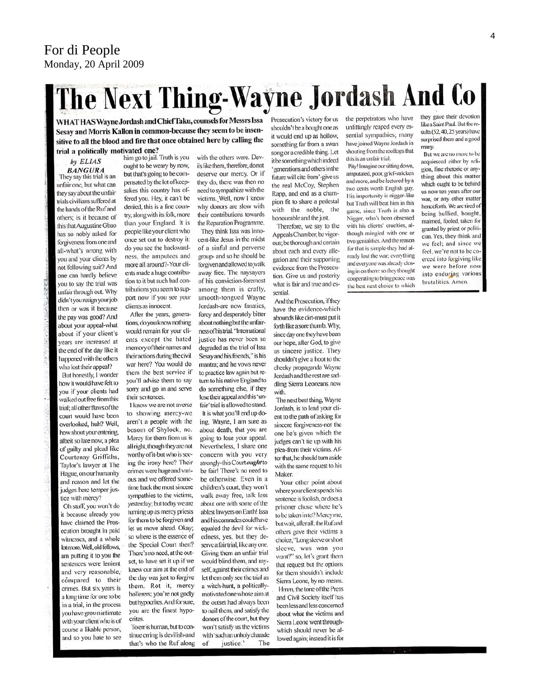## The Next Thing-Wayne Jordash And Co

WHAT HAS Wayne Jordash and Chief Taku, counsels for Messrs Issa Sesay and Morris Kallon in common-because they seem to be insensitive to all the blood and fire that once obtained here by calling the trial a politically motivated one?

#### by ELIAS **BANGURA**

They say this trial is an unfair one, but what can they say about the unfair trials civilians suffered at the hands of the Ruf and others; is it because of this that Augustine Gbao has so nobly asked for forgiveness from one and all-what's wrong with you and your clients by not following suit? And one can hardly believe you to say the trial was unfair through out. Why didn't you resign your job then or was it because the pay was good? And about your appeal-what about if your client's vears are increased at the end of the day like it happened with the others who lost their appeal?

But honestly, I wonder how it would have felt to you if your clients had walked out free from this trial; all other flaws of the court would have been overlooked, huh? Well, how about your entering, albeit so late now, a plea of guilty and plead like Courtenay Griffiths, Taylor's lawyer at The Hague, on our humanity and reason and let the judges here temper justice with mercy?

Oh stuff, you won't do it because already you have claimed the Prosecution brought in paid witnesses, and a whole lot more. Well, old fellows, am putting it to you the sentences were lenient and very reasonable, compared to their crimes. But six years is a long time for one to be in a trial, in the process you have grown intimate with your client who is of course a likable person, and so you hate to see

him go to jail. Truth is you ought to be weary by now, but that's going to be compensated by the lot of keepsakes this country has offered you. Hey, it can't be denied, this is a fine country, along with its folk, more than your England. It is people like your client who once set out to destroy it: do you see the backwardness, the amputees and more all around?-Your clients made a huge contribution to it but such bad contributions you seem to support now if you see your clients as innocent.

After the years, generations, do you know nothing would remain for your clients except the hated memory of their names and their actions during the civil war here? You would do them the best service if you'll advise them to say sorry and go in and serve their sentences.

I know we are not averse to showing mercy-we aren't a people with the bosom of Shylock, no. Mercy for them from us is all right, though they are not worthy of it-but who is seeing the irony here? Their crimes were huge and various and we offered sometime back the most sincere sympathies to the victims, yesterday; but today we are turning up as mercy priests for them to be forgiven and let us move ahead. Okay; so where is the essence of the Special Court then? There's no need, at the outset, to have set it up if we knew our aim at the end of the day was just to forgive them. Rot it, mercy hollerers; you're not godly but hypocrites. And for sure, you are the finest hypocrites

To en is human, but to continue erring is devilish-and that's who the Ruf along

with the others were. Devils like them, therefore, do not deserve our mercy. Or if they do, there was then no need to sympathize with the victims. Well, now I know why donors are slow with their contributions towards the Reparation Programme. They think Issa was inno-

cent-like Jesus in the midst of a sinful and perverse group- and so he should be forgiven and allowed to walk away free. The naysayers of his conviction-foremost among them is crafty, smooth-tongued Wayne lordash-are now fanatics. forcy and desperately bitter about nothing but the unfairness of his trial. "International justice has never been so degraded as the trial of Issa Sesay and his friends," is his mantra; and he vows never to practice law again but return to his native England to do something else, if they lose their appeal and this 'unfair' trial is allowed to stand. It is what you'll end up doing, Wayne, I am sure as about death, that you are going to lose your appeal. Nevertheless, I share one concern with you very strongly-this Court ought to be fair! There's no need to be otherwise. Even in a children's court, they won't walk away free, talk less about one with some of the ablest lawyers on Earth! Issa and his comrades could have equaled the devil for wickedness, yes, but they deserve a fair trial, like any one. Giving them an unfair trial would blind them, and myself, against their crimes and let them only see the trial as a witch-hunt, a politicallymotivated one whose aim at the outset had always been to nail them, and satisfy the donors of the court, but they won't satisfy us the victims with 'such an unholy charade  $\alpha$ f justice." The

Prosecution's victory for us shouldn't be a bought one as it would end up as hollow, something far from a swan song or a credible thing. Let it be something which indeed 'generations and others in the future will cite from'-give us the real McCoy, Stephen Rapp, and end as a champion fit to share a pedestal with the noble, the honourable and the just.

Therefore, we say to the Appeals Chamber, be vigorous; be thorough and certain about each and every allegation and their supporting evidence from the Prosecution. Give us and posterity what is fair and true and essential

And the Prosecution, if they have the evidence-which abounds like dirt-must put it forth like a sore thumb. Why, since day one they have been our hope, after God, to give us sincere justice. They shouldn't give a hoot to the cheeky propaganda Wayne Jordash and the rest are saddling Sierra Leoneans now with.

The next best thing, Wayne Jordash, is to lead your client to the path of asking for sincere forgiveness-not the one he's given which the judges can't tie up with his plea-from their victims. After that, he should turn aside with the same request to his **Maker** 

Your other point about where your client spends his sentence is foolish, or does a prisoner chose where he's to be taken in to? Mercy me, but wait, after all, the Ruf and others gave their victims a choice, "Long sleeve or short sleeve, wus wan you want?" so, let's grant them that request but the options for them shouldn't include Sierra Leone, by no means. Hmm, the tone of the Press and Civil Society itself has been less and less concerned about what the victims and Sierra Leone went throughwhich should never be allowed again; instead it is for

the perpetrators who have unfittingly reaped every essential sympathies; many have joined Wayne Jordash in shouting from the rooftops that this is an unfair trial.

Pity! Imagine our sitting down, amputated, poor, gricf-stricken and more, and be lectured by a two cents worth English guy. His importunity is nigger-like but Truth will beat him in this game, since Truth is also a Nigger, who's been obsessed with his clients' cruelties, although mingled with one or two genialities. And the reason for that is simple-they had already lost the war; everything and everyone was already closing in on them: so they thought cooperating to bring peace was the best next choice to which they gave their devotion like a Saint Paul. But the results (52, 40, 25 years) have surprised them and a good many.

But we are no more to be acquiesced either by religion, fine rhetoric or anything about this matter which ought to be behind us now ten years after our war, or any other matter henceforth. We are tired of being bullied, bought, maimed, fooled, taken for granted by priest or politician Yes, they think and we feel; and since we feel, we're not to be coerced into forgiving like we were before now into enduring various brutalities. Amen.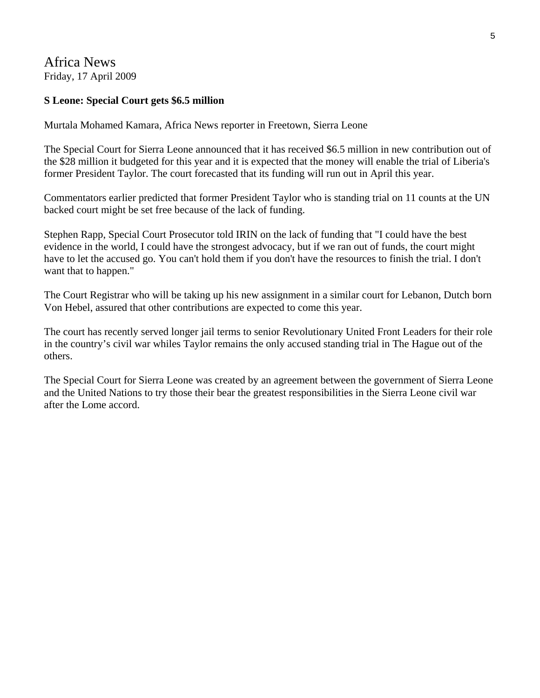Africa News Friday, 17 April 2009

#### **S Leone: Special Court gets \$6.5 million**

Murtala Mohamed Kamara, Africa News reporter in Freetown, Sierra Leone

The Special Court for Sierra Leone announced that it has received \$6.5 million in new contribution out of the \$28 million it budgeted for this year and it is expected that the money will enable the trial of Liberia's former President Taylor. The court forecasted that its funding will run out in April this year.

Commentators earlier predicted that former President Taylor who is standing trial on 11 counts at the UN backed court might be set free because of the lack of funding.

Stephen Rapp, Special Court Prosecutor told IRIN on the lack of funding that "I could have the best evidence in the world, I could have the strongest advocacy, but if we ran out of funds, the court might have to let the accused go. You can't hold them if you don't have the resources to finish the trial. I don't want that to happen."

The Court Registrar who will be taking up his new assignment in a similar court for Lebanon, Dutch born Von Hebel, assured that other contributions are expected to come this year.

The court has recently served longer jail terms to senior Revolutionary United Front Leaders for their role in the country's civil war whiles Taylor remains the only accused standing trial in The Hague out of the others.

The Special Court for Sierra Leone was created by an agreement between the government of Sierra Leone and the United Nations to try those their bear the greatest responsibilities in the Sierra Leone civil war after the Lome accord.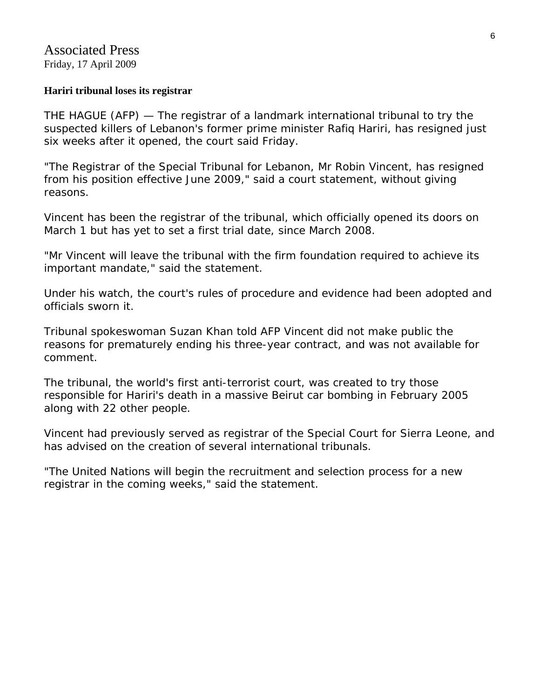#### **Hariri tribunal loses its registrar**

THE HAGUE (AFP) — The registrar of a landmark international tribunal to try the suspected killers of Lebanon's former prime minister Rafiq Hariri, has resigned just six weeks after it opened, the court said Friday.

"The Registrar of the Special Tribunal for Lebanon, Mr Robin Vincent, has resigned from his position effective June 2009," said a court statement, without giving reasons.

Vincent has been the registrar of the tribunal, which officially opened its doors on March 1 but has yet to set a first trial date, since March 2008.

"Mr Vincent will leave the tribunal with the firm foundation required to achieve its important mandate," said the statement.

Under his watch, the court's rules of procedure and evidence had been adopted and officials sworn it.

Tribunal spokeswoman Suzan Khan told AFP Vincent did not make public the reasons for prematurely ending his three-year contract, and was not available for comment.

The tribunal, the world's first anti-terrorist court, was created to try those responsible for Hariri's death in a massive Beirut car bombing in February 2005 along with 22 other people.

Vincent had previously served as registrar of the Special Court for Sierra Leone, and has advised on the creation of several international tribunals.

"The United Nations will begin the recruitment and selection process for a new registrar in the coming weeks," said the statement.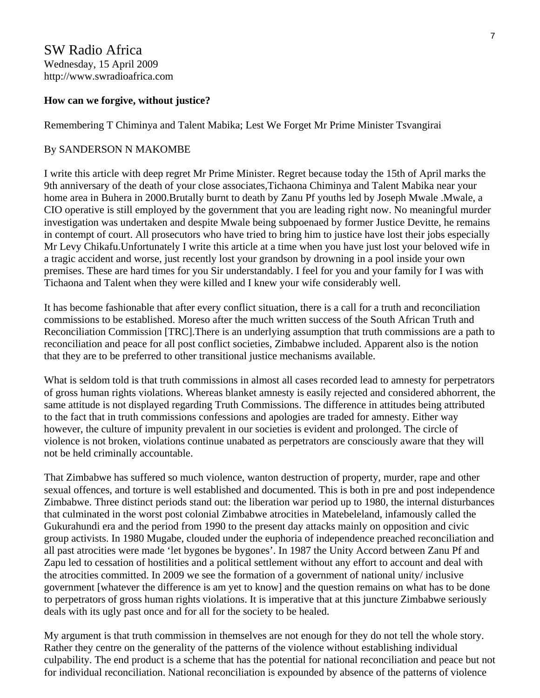SW Radio Africa Wednesday, 15 April 2009 http://www.swradioafrica.com

#### **How can we forgive, without justice?**

Remembering T Chiminya and Talent Mabika; Lest We Forget Mr Prime Minister Tsvangirai

#### By SANDERSON N MAKOMBE

I write this article with deep regret Mr Prime Minister. Regret because today the 15th of April marks the 9th anniversary of the death of your close associates,Tichaona Chiminya and Talent Mabika near your home area in Buhera in 2000.Brutally burnt to death by Zanu Pf youths led by Joseph Mwale .Mwale, a CIO operative is still employed by the government that you are leading right now. No meaningful murder investigation was undertaken and despite Mwale being subpoenaed by former Justice Devitte, he remains in contempt of court. All prosecutors who have tried to bring him to justice have lost their jobs especially Mr Levy Chikafu.Unfortunately I write this article at a time when you have just lost your beloved wife in a tragic accident and worse, just recently lost your grandson by drowning in a pool inside your own premises. These are hard times for you Sir understandably. I feel for you and your family for I was with Tichaona and Talent when they were killed and I knew your wife considerably well.

It has become fashionable that after every conflict situation, there is a call for a truth and reconciliation commissions to be established. Moreso after the much written success of the South African Truth and Reconciliation Commission [TRC].There is an underlying assumption that truth commissions are a path to reconciliation and peace for all post conflict societies, Zimbabwe included. Apparent also is the notion that they are to be preferred to other transitional justice mechanisms available.

What is seldom told is that truth commissions in almost all cases recorded lead to amnesty for perpetrators of gross human rights violations. Whereas blanket amnesty is easily rejected and considered abhorrent, the same attitude is not displayed regarding Truth Commissions. The difference in attitudes being attributed to the fact that in truth commissions confessions and apologies are traded for amnesty. Either way however, the culture of impunity prevalent in our societies is evident and prolonged. The circle of violence is not broken, violations continue unabated as perpetrators are consciously aware that they will not be held criminally accountable.

That Zimbabwe has suffered so much violence, wanton destruction of property, murder, rape and other sexual offences, and torture is well established and documented. This is both in pre and post independence Zimbabwe. Three distinct periods stand out: the liberation war period up to 1980, the internal disturbances that culminated in the worst post colonial Zimbabwe atrocities in Matebeleland, infamously called the Gukurahundi era and the period from 1990 to the present day attacks mainly on opposition and civic group activists. In 1980 Mugabe, clouded under the euphoria of independence preached reconciliation and all past atrocities were made 'let bygones be bygones'. In 1987 the Unity Accord between Zanu Pf and Zapu led to cessation of hostilities and a political settlement without any effort to account and deal with the atrocities committed. In 2009 we see the formation of a government of national unity/ inclusive government [whatever the difference is am yet to know] and the question remains on what has to be done to perpetrators of gross human rights violations. It is imperative that at this juncture Zimbabwe seriously deals with its ugly past once and for all for the society to be healed.

My argument is that truth commission in themselves are not enough for they do not tell the whole story. Rather they centre on the generality of the patterns of the violence without establishing individual culpability. The end product is a scheme that has the potential for national reconciliation and peace but not for individual reconciliation. National reconciliation is expounded by absence of the patterns of violence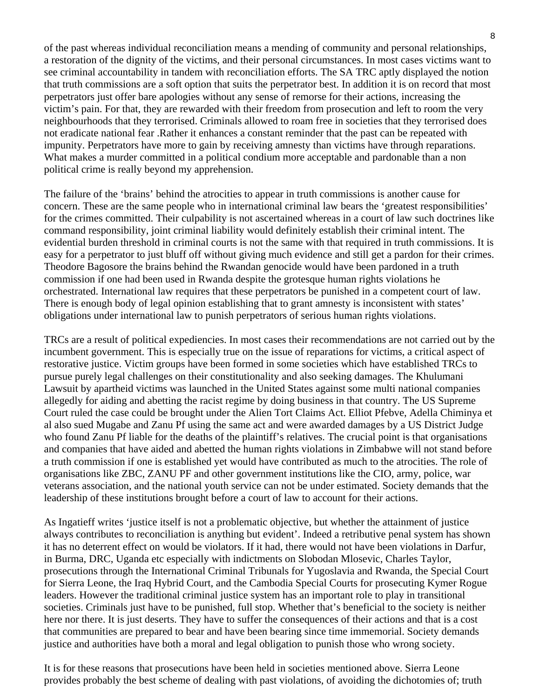of the past whereas individual reconciliation means a mending of community and personal relationships, a restoration of the dignity of the victims, and their personal circumstances. In most cases victims want to see criminal accountability in tandem with reconciliation efforts. The SA TRC aptly displayed the notion that truth commissions are a soft option that suits the perpetrator best. In addition it is on record that most perpetrators just offer bare apologies without any sense of remorse for their actions, increasing the victim's pain. For that, they are rewarded with their freedom from prosecution and left to room the very neighbourhoods that they terrorised. Criminals allowed to roam free in societies that they terrorised does not eradicate national fear .Rather it enhances a constant reminder that the past can be repeated with impunity. Perpetrators have more to gain by receiving amnesty than victims have through reparations. What makes a murder committed in a political condium more acceptable and pardonable than a non political crime is really beyond my apprehension.

The failure of the 'brains' behind the atrocities to appear in truth commissions is another cause for concern. These are the same people who in international criminal law bears the 'greatest responsibilities' for the crimes committed. Their culpability is not ascertained whereas in a court of law such doctrines like command responsibility, joint criminal liability would definitely establish their criminal intent. The evidential burden threshold in criminal courts is not the same with that required in truth commissions. It is easy for a perpetrator to just bluff off without giving much evidence and still get a pardon for their crimes. Theodore Bagosore the brains behind the Rwandan genocide would have been pardoned in a truth commission if one had been used in Rwanda despite the grotesque human rights violations he orchestrated. International law requires that these perpetrators be punished in a competent court of law. There is enough body of legal opinion establishing that to grant amnesty is inconsistent with states' obligations under international law to punish perpetrators of serious human rights violations.

TRCs are a result of political expediencies. In most cases their recommendations are not carried out by the incumbent government. This is especially true on the issue of reparations for victims, a critical aspect of restorative justice. Victim groups have been formed in some societies which have established TRCs to pursue purely legal challenges on their constitutionality and also seeking damages. The Khulumani Lawsuit by apartheid victims was launched in the United States against some multi national companies allegedly for aiding and abetting the racist regime by doing business in that country. The US Supreme Court ruled the case could be brought under the Alien Tort Claims Act. Elliot Pfebve, Adella Chiminya et al also sued Mugabe and Zanu Pf using the same act and were awarded damages by a US District Judge who found Zanu Pf liable for the deaths of the plaintiff's relatives. The crucial point is that organisations and companies that have aided and abetted the human rights violations in Zimbabwe will not stand before a truth commission if one is established yet would have contributed as much to the atrocities. The role of organisations like ZBC, ZANU PF and other government institutions like the CIO, army, police, war veterans association, and the national youth service can not be under estimated. Society demands that the leadership of these institutions brought before a court of law to account for their actions.

As Ingatieff writes 'justice itself is not a problematic objective, but whether the attainment of justice always contributes to reconciliation is anything but evident'. Indeed a retributive penal system has shown it has no deterrent effect on would be violators. If it had, there would not have been violations in Darfur, in Burma, DRC, Uganda etc especially with indictments on Slobodan Mlosevic, Charles Taylor, prosecutions through the International Criminal Tribunals for Yugoslavia and Rwanda, the Special Court for Sierra Leone, the Iraq Hybrid Court, and the Cambodia Special Courts for prosecuting Kymer Rogue leaders. However the traditional criminal justice system has an important role to play in transitional societies. Criminals just have to be punished, full stop. Whether that's beneficial to the society is neither here nor there. It is just deserts. They have to suffer the consequences of their actions and that is a cost that communities are prepared to bear and have been bearing since time immemorial. Society demands justice and authorities have both a moral and legal obligation to punish those who wrong society.

It is for these reasons that prosecutions have been held in societies mentioned above. Sierra Leone provides probably the best scheme of dealing with past violations, of avoiding the dichotomies of; truth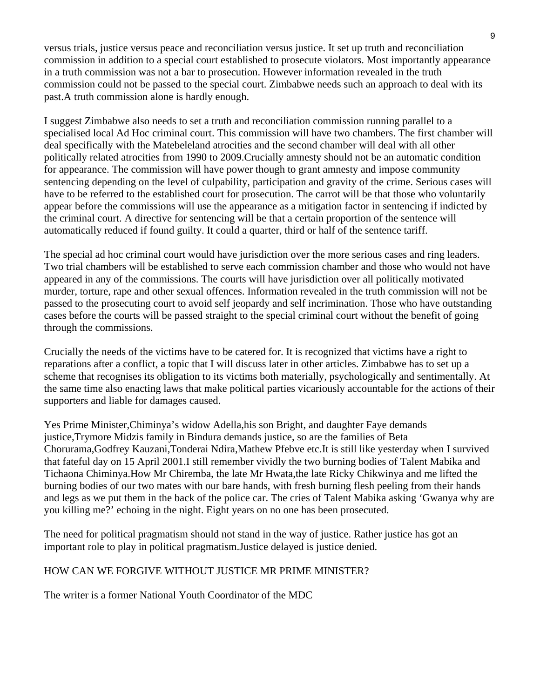versus trials, justice versus peace and reconciliation versus justice. It set up truth and reconciliation commission in addition to a special court established to prosecute violators. Most importantly appearance in a truth commission was not a bar to prosecution. However information revealed in the truth commission could not be passed to the special court. Zimbabwe needs such an approach to deal with its past.A truth commission alone is hardly enough.

I suggest Zimbabwe also needs to set a truth and reconciliation commission running parallel to a specialised local Ad Hoc criminal court. This commission will have two chambers. The first chamber will deal specifically with the Matebeleland atrocities and the second chamber will deal with all other politically related atrocities from 1990 to 2009.Crucially amnesty should not be an automatic condition for appearance. The commission will have power though to grant amnesty and impose community sentencing depending on the level of culpability, participation and gravity of the crime. Serious cases will have to be referred to the established court for prosecution. The carrot will be that those who voluntarily appear before the commissions will use the appearance as a mitigation factor in sentencing if indicted by the criminal court. A directive for sentencing will be that a certain proportion of the sentence will automatically reduced if found guilty. It could a quarter, third or half of the sentence tariff.

The special ad hoc criminal court would have jurisdiction over the more serious cases and ring leaders. Two trial chambers will be established to serve each commission chamber and those who would not have appeared in any of the commissions. The courts will have jurisdiction over all politically motivated murder, torture, rape and other sexual offences. Information revealed in the truth commission will not be passed to the prosecuting court to avoid self jeopardy and self incrimination. Those who have outstanding cases before the courts will be passed straight to the special criminal court without the benefit of going through the commissions.

Crucially the needs of the victims have to be catered for. It is recognized that victims have a right to reparations after a conflict, a topic that I will discuss later in other articles. Zimbabwe has to set up a scheme that recognises its obligation to its victims both materially, psychologically and sentimentally. At the same time also enacting laws that make political parties vicariously accountable for the actions of their supporters and liable for damages caused.

Yes Prime Minister,Chiminya's widow Adella,his son Bright, and daughter Faye demands justice,Trymore Midzis family in Bindura demands justice, so are the families of Beta Chorurama,Godfrey Kauzani,Tonderai Ndira,Mathew Pfebve etc.It is still like yesterday when I survived that fateful day on 15 April 2001.I still remember vividly the two burning bodies of Talent Mabika and Tichaona Chiminya.How Mr Chiremba, the late Mr Hwata,the late Ricky Chikwinya and me lifted the burning bodies of our two mates with our bare hands, with fresh burning flesh peeling from their hands and legs as we put them in the back of the police car. The cries of Talent Mabika asking 'Gwanya why are you killing me?' echoing in the night. Eight years on no one has been prosecuted.

The need for political pragmatism should not stand in the way of justice. Rather justice has got an important role to play in political pragmatism.Justice delayed is justice denied.

#### HOW CAN WE FORGIVE WITHOUT JUSTICE MR PRIME MINISTER?

The writer is a former National Youth Coordinator of the MDC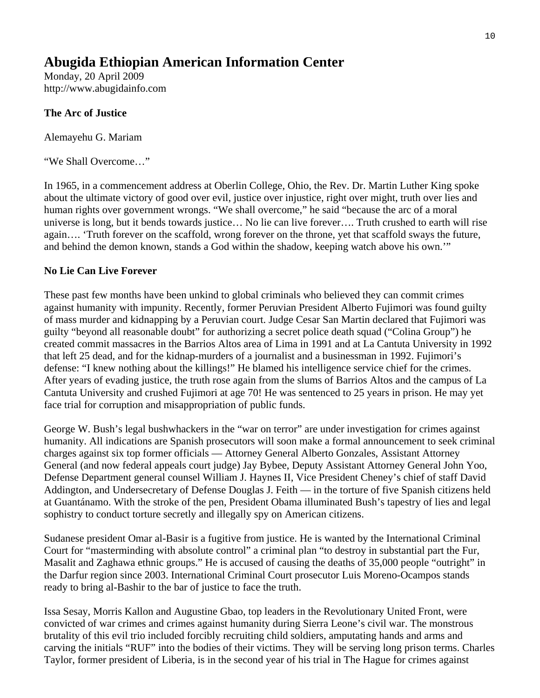#### **Abugida Ethiopian American Information Center**

Monday, 20 April 2009 http://www.abugidainfo.com

#### **The Arc of Justice**

Alemayehu G. Mariam

"We Shall Overcome…"

In 1965, in a commencement address at Oberlin College, Ohio, the Rev. Dr. Martin Luther King spoke about the ultimate victory of good over evil, justice over injustice, right over might, truth over lies and human rights over government wrongs. "We shall overcome," he said "because the arc of a moral universe is long, but it bends towards justice… No lie can live forever…. Truth crushed to earth will rise again…. 'Truth forever on the scaffold, wrong forever on the throne, yet that scaffold sways the future, and behind the demon known, stands a God within the shadow, keeping watch above his own.'"

#### **No Lie Can Live Forever**

These past few months have been unkind to global criminals who believed they can commit crimes against humanity with impunity. Recently, former Peruvian President Alberto Fujimori was found guilty of mass murder and kidnapping by a Peruvian court. Judge Cesar San Martin declared that Fujimori was guilty "beyond all reasonable doubt" for authorizing a secret police death squad ("Colina Group") he created commit massacres in the Barrios Altos area of Lima in 1991 and at La Cantuta University in 1992 that left 25 dead, and for the kidnap-murders of a journalist and a businessman in 1992. Fujimori's defense: "I knew nothing about the killings!" He blamed his intelligence service chief for the crimes. After years of evading justice, the truth rose again from the slums of Barrios Altos and the campus of La Cantuta University and crushed Fujimori at age 70! He was sentenced to 25 years in prison. He may yet face trial for corruption and misappropriation of public funds.

George W. Bush's legal bushwhackers in the "war on terror" are under investigation for crimes against humanity. All indications are Spanish prosecutors will soon make a formal announcement to seek criminal charges against six top former officials — Attorney General Alberto Gonzales, Assistant Attorney General (and now federal appeals court judge) Jay Bybee, Deputy Assistant Attorney General John Yoo, Defense Department general counsel William J. Haynes II, Vice President Cheney's chief of staff David Addington, and Undersecretary of Defense Douglas J. Feith — in the torture of five Spanish citizens held at Guantánamo. With the stroke of the pen, President Obama illuminated Bush's tapestry of lies and legal sophistry to conduct torture secretly and illegally spy on American citizens.

Sudanese president Omar al-Basir is a fugitive from justice. He is wanted by the International Criminal Court for "masterminding with absolute control" a criminal plan "to destroy in substantial part the Fur, Masalit and Zaghawa ethnic groups." He is accused of causing the deaths of 35,000 people "outright" in the Darfur region since 2003. International Criminal Court prosecutor Luis Moreno-Ocampos stands ready to bring al-Bashir to the bar of justice to face the truth.

Issa Sesay, Morris Kallon and Augustine Gbao, top leaders in the Revolutionary United Front, were convicted of war crimes and crimes against humanity during Sierra Leone's civil war. The monstrous brutality of this evil trio included forcibly recruiting child soldiers, amputating hands and arms and carving the initials "RUF" into the bodies of their victims. They will be serving long prison terms. Charles Taylor, former president of Liberia, is in the second year of his trial in The Hague for crimes against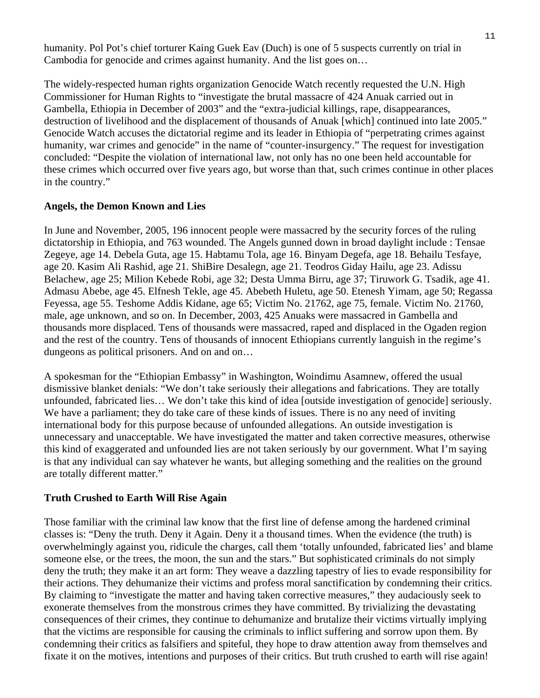humanity. Pol Pot's chief torturer Kaing Guek Eav (Duch) is one of 5 suspects currently on trial in Cambodia for genocide and crimes against humanity. And the list goes on…

The widely-respected human rights organization Genocide Watch recently requested the U.N. High Commissioner for Human Rights to "investigate the brutal massacre of 424 Anuak carried out in Gambella, Ethiopia in December of 2003" and the "extra-judicial killings, rape, disappearances, destruction of livelihood and the displacement of thousands of Anuak [which] continued into late 2005." Genocide Watch accuses the dictatorial regime and its leader in Ethiopia of "perpetrating crimes against humanity, war crimes and genocide" in the name of "counter-insurgency." The request for investigation concluded: "Despite the violation of international law, not only has no one been held accountable for these crimes which occurred over five years ago, but worse than that, such crimes continue in other places in the country."

#### **Angels, the Demon Known and Lies**

In June and November, 2005, 196 innocent people were massacred by the security forces of the ruling dictatorship in Ethiopia, and 763 wounded. The Angels gunned down in broad daylight include : Tensae Zegeye, age 14. Debela Guta, age 15. Habtamu Tola, age 16. Binyam Degefa, age 18. Behailu Tesfaye, age 20. Kasim Ali Rashid, age 21. ShiBire Desalegn, age 21. Teodros Giday Hailu, age 23. Adissu Belachew, age 25; Milion Kebede Robi, age 32; Desta Umma Birru, age 37; Tiruwork G. Tsadik, age 41. Admasu Abebe, age 45. Elfnesh Tekle, age 45. Abebeth Huletu, age 50. Etenesh Yimam, age 50; Regassa Feyessa, age 55. Teshome Addis Kidane, age 65; Victim No. 21762, age 75, female. Victim No. 21760, male, age unknown, and so on. In December, 2003, 425 Anuaks were massacred in Gambella and thousands more displaced. Tens of thousands were massacred, raped and displaced in the Ogaden region and the rest of the country. Tens of thousands of innocent Ethiopians currently languish in the regime's dungeons as political prisoners. And on and on…

A spokesman for the "Ethiopian Embassy" in Washington, Woindimu Asamnew, offered the usual dismissive blanket denials: "We don't take seriously their allegations and fabrications. They are totally unfounded, fabricated lies… We don't take this kind of idea [outside investigation of genocide] seriously. We have a parliament; they do take care of these kinds of issues. There is no any need of inviting international body for this purpose because of unfounded allegations. An outside investigation is unnecessary and unacceptable. We have investigated the matter and taken corrective measures, otherwise this kind of exaggerated and unfounded lies are not taken seriously by our government. What I'm saying is that any individual can say whatever he wants, but alleging something and the realities on the ground are totally different matter."

#### **Truth Crushed to Earth Will Rise Again**

Those familiar with the criminal law know that the first line of defense among the hardened criminal classes is: "Deny the truth. Deny it Again. Deny it a thousand times. When the evidence (the truth) is overwhelmingly against you, ridicule the charges, call them 'totally unfounded, fabricated lies' and blame someone else, or the trees, the moon, the sun and the stars." But sophisticated criminals do not simply deny the truth; they make it an art form: They weave a dazzling tapestry of lies to evade responsibility for their actions. They dehumanize their victims and profess moral sanctification by condemning their critics. By claiming to "investigate the matter and having taken corrective measures," they audaciously seek to exonerate themselves from the monstrous crimes they have committed. By trivializing the devastating consequences of their crimes, they continue to dehumanize and brutalize their victims virtually implying that the victims are responsible for causing the criminals to inflict suffering and sorrow upon them. By condemning their critics as falsifiers and spiteful, they hope to draw attention away from themselves and fixate it on the motives, intentions and purposes of their critics. But truth crushed to earth will rise again!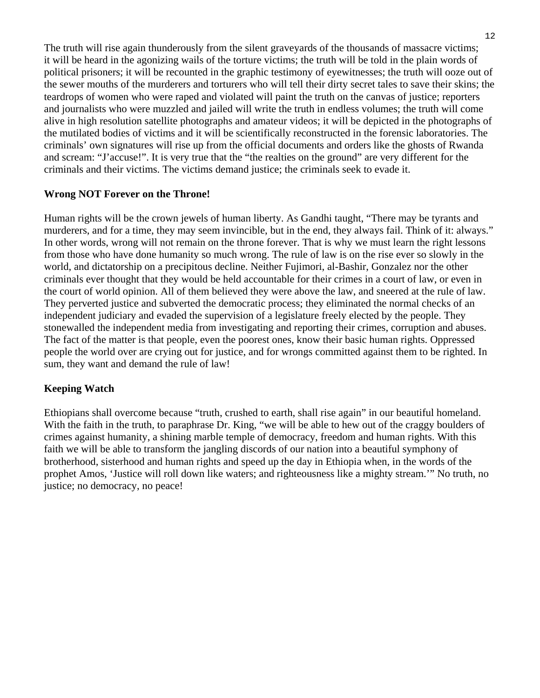The truth will rise again thunderously from the silent graveyards of the thousands of massacre victims; it will be heard in the agonizing wails of the torture victims; the truth will be told in the plain words of political prisoners; it will be recounted in the graphic testimony of eyewitnesses; the truth will ooze out of the sewer mouths of the murderers and torturers who will tell their dirty secret tales to save their skins; the teardrops of women who were raped and violated will paint the truth on the canvas of justice; reporters and journalists who were muzzled and jailed will write the truth in endless volumes; the truth will come alive in high resolution satellite photographs and amateur videos; it will be depicted in the photographs of the mutilated bodies of victims and it will be scientifically reconstructed in the forensic laboratories. The criminals' own signatures will rise up from the official documents and orders like the ghosts of Rwanda and scream: "J'accuse!". It is very true that the "the realties on the ground" are very different for the criminals and their victims. The victims demand justice; the criminals seek to evade it.

#### **Wrong NOT Forever on the Throne!**

Human rights will be the crown jewels of human liberty. As Gandhi taught, "There may be tyrants and murderers, and for a time, they may seem invincible, but in the end, they always fail. Think of it: always." In other words, wrong will not remain on the throne forever. That is why we must learn the right lessons from those who have done humanity so much wrong. The rule of law is on the rise ever so slowly in the world, and dictatorship on a precipitous decline. Neither Fujimori, al-Bashir, Gonzalez nor the other criminals ever thought that they would be held accountable for their crimes in a court of law, or even in the court of world opinion. All of them believed they were above the law, and sneered at the rule of law. They perverted justice and subverted the democratic process; they eliminated the normal checks of an independent judiciary and evaded the supervision of a legislature freely elected by the people. They stonewalled the independent media from investigating and reporting their crimes, corruption and abuses. The fact of the matter is that people, even the poorest ones, know their basic human rights. Oppressed people the world over are crying out for justice, and for wrongs committed against them to be righted. In sum, they want and demand the rule of law!

#### **Keeping Watch**

Ethiopians shall overcome because "truth, crushed to earth, shall rise again" in our beautiful homeland. With the faith in the truth, to paraphrase Dr. King, "we will be able to hew out of the craggy boulders of crimes against humanity, a shining marble temple of democracy, freedom and human rights. With this faith we will be able to transform the jangling discords of our nation into a beautiful symphony of brotherhood, sisterhood and human rights and speed up the day in Ethiopia when, in the words of the prophet Amos, 'Justice will roll down like waters; and righteousness like a mighty stream.'" No truth, no justice; no democracy, no peace!